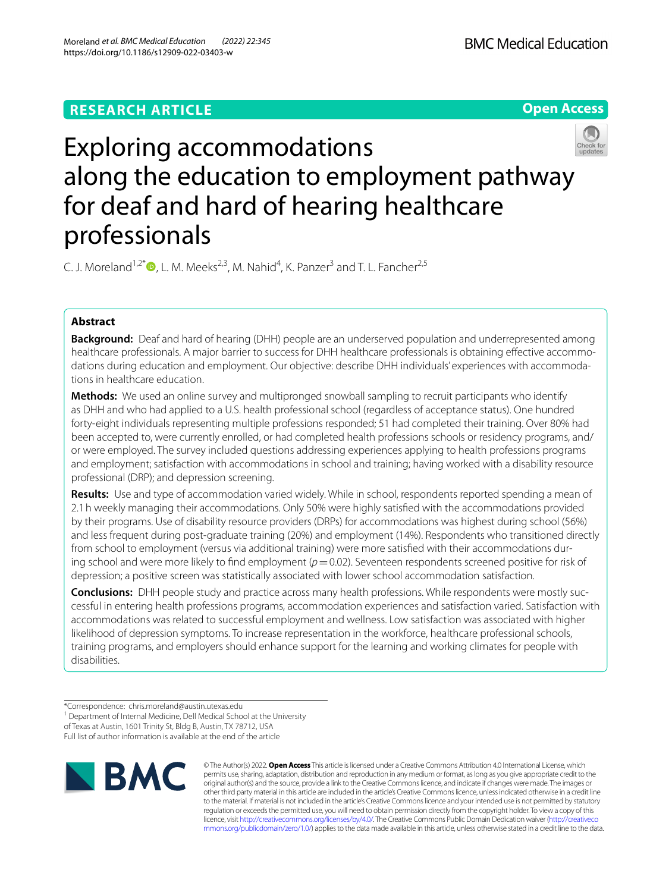# **RESEARCH ARTICLE**

**Open Access**



C. J. Moreland<sup>1[,](http://orcid.org/0000-0002-2127-5404)2\*</sup> $\bullet$ , L. M. Meeks<sup>2,3</sup>, M. Nahid<sup>4</sup>, K. Panzer<sup>3</sup> and T. L. Fancher<sup>2,5</sup>

## **Abstract**

**Background:** Deaf and hard of hearing (DHH) people are an underserved population and underrepresented among healthcare professionals. A major barrier to success for DHH healthcare professionals is obtaining efective accommodations during education and employment. Our objective: describe DHH individuals' experiences with accommodations in healthcare education.

**Methods:** We used an online survey and multipronged snowball sampling to recruit participants who identify as DHH and who had applied to a U.S. health professional school (regardless of acceptance status). One hundred forty-eight individuals representing multiple professions responded; 51 had completed their training. Over 80% had been accepted to, were currently enrolled, or had completed health professions schools or residency programs, and/ or were employed. The survey included questions addressing experiences applying to health professions programs and employment; satisfaction with accommodations in school and training; having worked with a disability resource professional (DRP); and depression screening.

**Results:** Use and type of accommodation varied widely. While in school, respondents reported spending a mean of 2.1h weekly managing their accommodations. Only 50% were highly satisfed with the accommodations provided by their programs. Use of disability resource providers (DRPs) for accommodations was highest during school (56%) and less frequent during post-graduate training (20%) and employment (14%). Respondents who transitioned directly from school to employment (versus via additional training) were more satisfed with their accommodations during school and were more likely to find employment ( $p=0.02$ ). Seventeen respondents screened positive for risk of depression; a positive screen was statistically associated with lower school accommodation satisfaction.

**Conclusions:** DHH people study and practice across many health professions. While respondents were mostly successful in entering health professions programs, accommodation experiences and satisfaction varied. Satisfaction with accommodations was related to successful employment and wellness. Low satisfaction was associated with higher likelihood of depression symptoms. To increase representation in the workforce, healthcare professional schools, training programs, and employers should enhance support for the learning and working climates for people with disabilities.

<sup>\*</sup>Correspondence: chris.moreland@austin.utexas.edu <sup>1</sup> Department of Internal Medicine, Dell Medical School at the University of Texas at Austin, 1601 Trinity St, Bldg B, Austin, TX 78712, USA Full list of author information is available at the end of the article



© The Author(s) 2022. **Open Access** This article is licensed under a Creative Commons Attribution 4.0 International License, which permits use, sharing, adaptation, distribution and reproduction in any medium or format, as long as you give appropriate credit to the original author(s) and the source, provide a link to the Creative Commons licence, and indicate if changes were made. The images or other third party material in this article are included in the article's Creative Commons licence, unless indicated otherwise in a credit line to the material. If material is not included in the article's Creative Commons licence and your intended use is not permitted by statutory regulation or exceeds the permitted use, you will need to obtain permission directly from the copyright holder. To view a copy of this licence, visit [http://creativecommons.org/licenses/by/4.0/.](http://creativecommons.org/licenses/by/4.0/) The Creative Commons Public Domain Dedication waiver ([http://creativeco](http://creativecommons.org/publicdomain/zero/1.0/) [mmons.org/publicdomain/zero/1.0/](http://creativecommons.org/publicdomain/zero/1.0/)) applies to the data made available in this article, unless otherwise stated in a credit line to the data.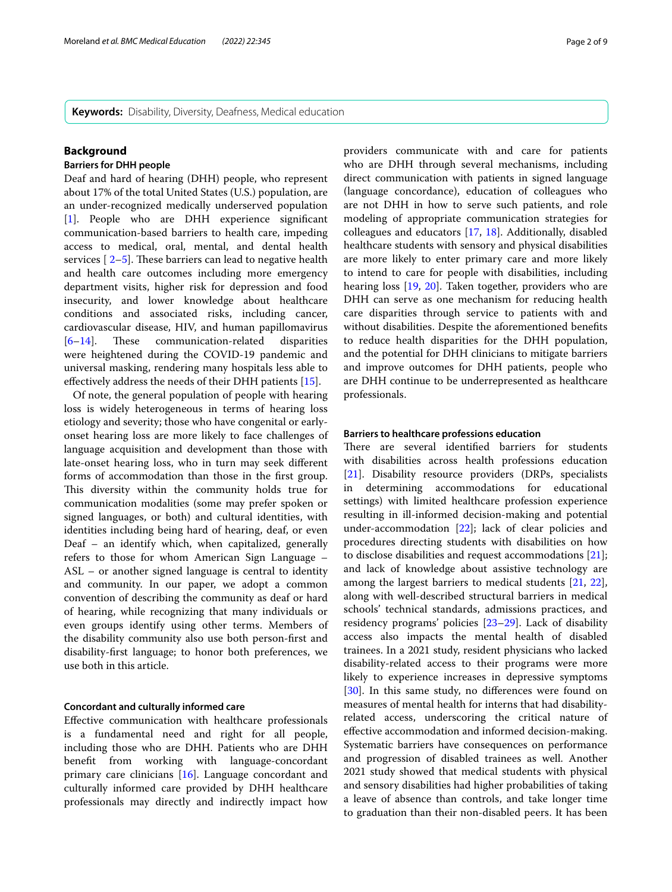**Keywords:** Disability, Diversity, Deafness, Medical education

## **Background**

## **Barriers for DHH people**

Deaf and hard of hearing (DHH) people, who represent about 17% of the total United States (U.S.) population, are an under-recognized medically underserved population [[1\]](#page-7-0). People who are DHH experience signifcant communication-based barriers to health care, impeding access to medical, oral, mental, and dental health services  $\lceil 2-5 \rceil$  $\lceil 2-5 \rceil$  $\lceil 2-5 \rceil$ . These barriers can lead to negative health and health care outcomes including more emergency department visits, higher risk for depression and food insecurity, and lower knowledge about healthcare conditions and associated risks, including cancer, cardiovascular disease, HIV, and human papillomavirus  $[6-14]$  $[6-14]$ . These communication-related disparities were heightened during the COVID-19 pandemic and universal masking, rendering many hospitals less able to efectively address the needs of their DHH patients [\[15](#page-8-1)].

Of note, the general population of people with hearing loss is widely heterogeneous in terms of hearing loss etiology and severity; those who have congenital or earlyonset hearing loss are more likely to face challenges of language acquisition and development than those with late-onset hearing loss, who in turn may seek diferent forms of accommodation than those in the frst group. This diversity within the community holds true for communication modalities (some may prefer spoken or signed languages, or both) and cultural identities, with identities including being hard of hearing, deaf, or even Deaf – an identify which, when capitalized, generally refers to those for whom American Sign Language – ASL – or another signed language is central to identity and community. In our paper, we adopt a common convention of describing the community as deaf or hard of hearing, while recognizing that many individuals or even groups identify using other terms. Members of the disability community also use both person-frst and disability-frst language; to honor both preferences, we use both in this article.

## **Concordant and culturally informed care**

Efective communication with healthcare professionals is a fundamental need and right for all people, including those who are DHH. Patients who are DHH beneft from working with language-concordant primary care clinicians [\[16](#page-8-2)]. Language concordant and culturally informed care provided by DHH healthcare professionals may directly and indirectly impact how providers communicate with and care for patients who are DHH through several mechanisms, including direct communication with patients in signed language (language concordance), education of colleagues who are not DHH in how to serve such patients, and role modeling of appropriate communication strategies for colleagues and educators [\[17](#page-8-3), [18](#page-8-4)]. Additionally, disabled healthcare students with sensory and physical disabilities are more likely to enter primary care and more likely to intend to care for people with disabilities, including hearing loss [\[19,](#page-8-5) [20](#page-8-6)]. Taken together, providers who are DHH can serve as one mechanism for reducing health care disparities through service to patients with and without disabilities. Despite the aforementioned benefts to reduce health disparities for the DHH population, and the potential for DHH clinicians to mitigate barriers and improve outcomes for DHH patients, people who are DHH continue to be underrepresented as healthcare professionals.

## **Barriers to healthcare professions education**

There are several identified barriers for students with disabilities across health professions education [[21\]](#page-8-7). Disability resource providers (DRPs, specialists in determining accommodations for educational settings) with limited healthcare profession experience resulting in ill-informed decision-making and potential under-accommodation [[22\]](#page-8-8); lack of clear policies and procedures directing students with disabilities on how to disclose disabilities and request accommodations [\[21](#page-8-7)]; and lack of knowledge about assistive technology are among the largest barriers to medical students [[21,](#page-8-7) [22](#page-8-8)], along with well-described structural barriers in medical schools' technical standards, admissions practices, and residency programs' policies [\[23](#page-8-9)[–29\]](#page-8-10). Lack of disability access also impacts the mental health of disabled trainees. In a 2021 study, resident physicians who lacked disability-related access to their programs were more likely to experience increases in depressive symptoms [[30\]](#page-8-11). In this same study, no differences were found on measures of mental health for interns that had disabilityrelated access, underscoring the critical nature of efective accommodation and informed decision-making. Systematic barriers have consequences on performance and progression of disabled trainees as well. Another 2021 study showed that medical students with physical and sensory disabilities had higher probabilities of taking a leave of absence than controls, and take longer time to graduation than their non-disabled peers. It has been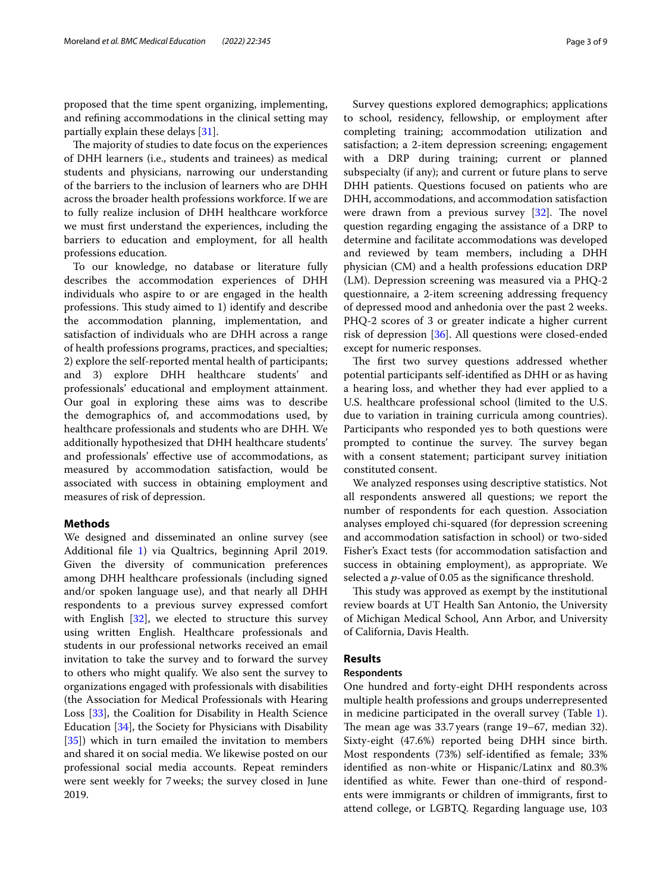proposed that the time spent organizing, implementing, and refning accommodations in the clinical setting may partially explain these delays [[31](#page-8-12)].

The majority of studies to date focus on the experiences of DHH learners (i.e., students and trainees) as medical students and physicians, narrowing our understanding of the barriers to the inclusion of learners who are DHH across the broader health professions workforce. If we are to fully realize inclusion of DHH healthcare workforce we must frst understand the experiences, including the barriers to education and employment, for all health professions education.

To our knowledge, no database or literature fully describes the accommodation experiences of DHH individuals who aspire to or are engaged in the health professions. This study aimed to 1) identify and describe the accommodation planning, implementation, and satisfaction of individuals who are DHH across a range of health professions programs, practices, and specialties; 2) explore the self-reported mental health of participants; and 3) explore DHH healthcare students' and professionals' educational and employment attainment. Our goal in exploring these aims was to describe the demographics of, and accommodations used, by healthcare professionals and students who are DHH. We additionally hypothesized that DHH healthcare students' and professionals' efective use of accommodations, as measured by accommodation satisfaction, would be associated with success in obtaining employment and measures of risk of depression.

## **Methods**

We designed and disseminated an online survey (see Additional fle [1](#page-7-4)) via Qualtrics, beginning April 2019. Given the diversity of communication preferences among DHH healthcare professionals (including signed and/or spoken language use), and that nearly all DHH respondents to a previous survey expressed comfort with English [[32\]](#page-8-13), we elected to structure this survey using written English. Healthcare professionals and students in our professional networks received an email invitation to take the survey and to forward the survey to others who might qualify. We also sent the survey to organizations engaged with professionals with disabilities (the Association for Medical Professionals with Hearing Loss [[33\]](#page-8-14), the Coalition for Disability in Health Science Education [\[34](#page-8-15)], the Society for Physicians with Disability [[35\]](#page-8-16)) which in turn emailed the invitation to members and shared it on social media. We likewise posted on our professional social media accounts. Repeat reminders were sent weekly for 7weeks; the survey closed in June 2019.

Survey questions explored demographics; applications to school, residency, fellowship, or employment after completing training; accommodation utilization and satisfaction; a 2-item depression screening; engagement with a DRP during training; current or planned subspecialty (if any); and current or future plans to serve DHH patients. Questions focused on patients who are DHH, accommodations, and accommodation satisfaction were drawn from a previous survey  $[32]$  $[32]$ . The novel question regarding engaging the assistance of a DRP to determine and facilitate accommodations was developed and reviewed by team members, including a DHH physician (CM) and a health professions education DRP (LM). Depression screening was measured via a PHQ-2 questionnaire, a 2-item screening addressing frequency of depressed mood and anhedonia over the past 2 weeks. PHQ-2 scores of 3 or greater indicate a higher current risk of depression [\[36\]](#page-8-17). All questions were closed-ended except for numeric responses.

The first two survey questions addressed whether potential participants self-identifed as DHH or as having a hearing loss, and whether they had ever applied to a U.S. healthcare professional school (limited to the U.S. due to variation in training curricula among countries). Participants who responded yes to both questions were prompted to continue the survey. The survey began with a consent statement; participant survey initiation constituted consent.

We analyzed responses using descriptive statistics. Not all respondents answered all questions; we report the number of respondents for each question. Association analyses employed chi-squared (for depression screening and accommodation satisfaction in school) or two-sided Fisher's Exact tests (for accommodation satisfaction and success in obtaining employment), as appropriate. We selected a *p*-value of 0.05 as the signifcance threshold.

This study was approved as exempt by the institutional review boards at UT Health San Antonio, the University of Michigan Medical School, Ann Arbor, and University of California, Davis Health.

## **Results**

## **Respondents**

One hundred and forty-eight DHH respondents across multiple health professions and groups underrepresented in medicine participated in the overall survey (Table [1](#page-3-0)). The mean age was  $33.7$  years (range  $19-67$ , median  $32$ ). Sixty-eight (47.6%) reported being DHH since birth. Most respondents (73%) self-identifed as female; 33% identifed as non-white or Hispanic/Latinx and 80.3% identifed as white. Fewer than one-third of respondents were immigrants or children of immigrants, frst to attend college, or LGBTQ. Regarding language use, 103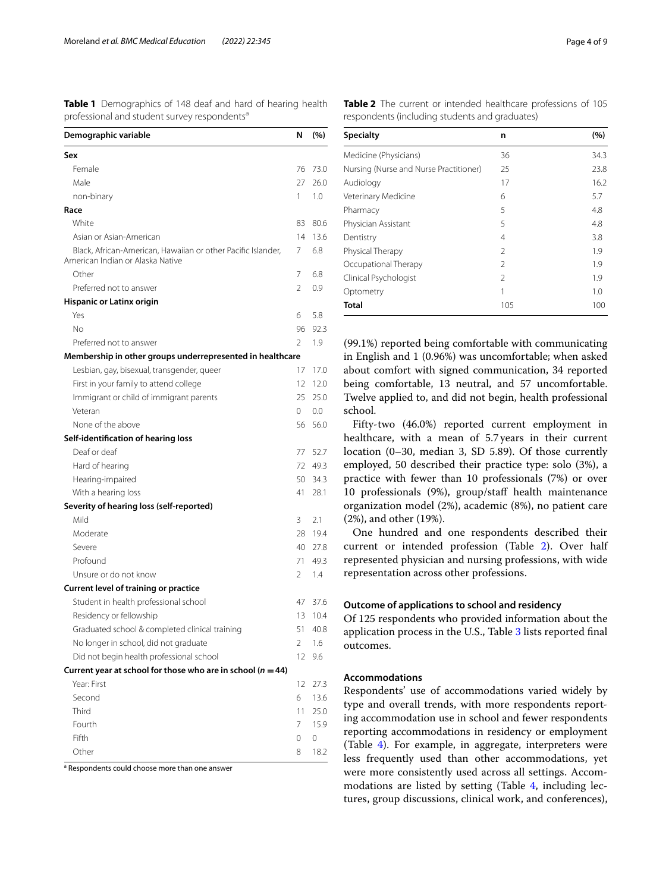<span id="page-3-0"></span>**Table 1** Demographics of 148 deaf and hard of hearing health professional and student survey respondents<sup>a</sup>

| Demographic variable                                                                             | N              | (%)     |
|--------------------------------------------------------------------------------------------------|----------------|---------|
| Sex                                                                                              |                |         |
| Female                                                                                           | 76             | 73.0    |
| Male                                                                                             | 27             | 26.0    |
| non-binary                                                                                       | 1              | 1.0     |
| Race                                                                                             |                |         |
| White                                                                                            | 83             | 80.6    |
| Asian or Asian-American                                                                          | 14             | 13.6    |
| Black, African-American, Hawaiian or other Pacific Islander,<br>American Indian or Alaska Native | 7              | 6.8     |
| Other                                                                                            | 7              | 6.8     |
| Preferred not to answer                                                                          | $\mathfrak{D}$ | 0.9     |
| <b>Hispanic or Latinx origin</b>                                                                 |                |         |
| Yes                                                                                              | 6              | 5.8     |
| Nο                                                                                               | 96             | 92.3    |
| Preferred not to answer                                                                          | $\mathfrak{D}$ | 1.9     |
| Membership in other groups underrepresented in healthcare                                        |                |         |
| Lesbian, gay, bisexual, transgender, queer                                                       | 17             | 17.0    |
| First in your family to attend college                                                           | 12             | 12.0    |
| Immigrant or child of immigrant parents                                                          | 25             | 25.0    |
| Veteran                                                                                          | 0              | $0.0\,$ |
| None of the above                                                                                | 56             | 56.0    |
| Self-identification of hearing loss                                                              |                |         |
| Deaf or deaf                                                                                     | 77             | 52.7    |
| Hard of hearing                                                                                  | 72             | 49.3    |
| Hearing-impaired                                                                                 | 50             | 34.3    |
| With a hearing loss                                                                              | 41             | 28.1    |
| Severity of hearing loss (self-reported)                                                         |                |         |
| Mild                                                                                             | 3              | 2.1     |
| Moderate                                                                                         | 28             | 19.4    |
| Severe                                                                                           | 40             | 27.8    |
| Profound                                                                                         | 71             | 49.3    |
| Unsure or do not know                                                                            | 2              | 1.4     |
| Current level of training or practice                                                            |                |         |
| Student in health professional school                                                            | 47             | 37.6    |
| Residency or fellowship                                                                          | 13             | 10.4    |
| Graduated school & completed clinical training                                                   | 51             | 40.8    |
| No longer in school, did not graduate                                                            | 2              | 1.6     |
| Did not begin health professional school                                                         | 12             | 9.6     |
| Current year at school for those who are in school ( $n = 44$ )                                  |                |         |
| Year: First                                                                                      | 12             | 27.3    |
| Second                                                                                           | 6              | 13.6    |
| Third                                                                                            | 11             | 25.0    |
| Fourth                                                                                           | 7              | 15.9    |
| Fifth                                                                                            | 0              | 0       |
| Other                                                                                            | 8              | 18.2    |

<sup>a</sup> Respondents could choose more than one answer

<span id="page-3-1"></span>**Table 2** The current or intended healthcare professions of 105 respondents (including students and graduates)

| <b>Specialty</b>                       | n              | (%)  |
|----------------------------------------|----------------|------|
| Medicine (Physicians)                  | 36             | 34.3 |
| Nursing (Nurse and Nurse Practitioner) | 25             | 23.8 |
| Audiology                              | 17             | 16.2 |
| Veterinary Medicine                    | 6              | 5.7  |
| Pharmacy                               | 5              | 4.8  |
| Physician Assistant                    | 5              | 4.8  |
| Dentistry                              | 4              | 3.8  |
| Physical Therapy                       | $\mathfrak{D}$ | 1.9  |
| Occupational Therapy                   | $\mathcal{P}$  | 1.9  |
| Clinical Psychologist                  | 2              | 1.9  |
| Optometry                              | 1              | 1.0  |
| <b>Total</b>                           | 105            | 100  |

(99.1%) reported being comfortable with communicating in English and 1 (0.96%) was uncomfortable; when asked about comfort with signed communication, 34 reported being comfortable, 13 neutral, and 57 uncomfortable. Twelve applied to, and did not begin, health professional school.

Fifty-two (46.0%) reported current employment in healthcare, with a mean of 5.7years in their current location (0–30, median 3, SD 5.89). Of those currently employed, 50 described their practice type: solo (3%), a practice with fewer than 10 professionals (7%) or over 10 professionals (9%), group/staf health maintenance organization model (2%), academic (8%), no patient care (2%), and other (19%).

One hundred and one respondents described their current or intended profession (Table [2\)](#page-3-1). Over half represented physician and nursing professions, with wide representation across other professions.

#### **Outcome of applications to school and residency**

Of 125 respondents who provided information about the application process in the U.S., Table [3](#page-4-0) lists reported fnal outcomes.

## **Accommodations**

Respondents' use of accommodations varied widely by type and overall trends, with more respondents reporting accommodation use in school and fewer respondents reporting accommodations in residency or employment (Table [4\)](#page-4-1). For example, in aggregate, interpreters were less frequently used than other accommodations, yet were more consistently used across all settings. Accommodations are listed by setting (Table [4,](#page-4-1) including lectures, group discussions, clinical work, and conferences),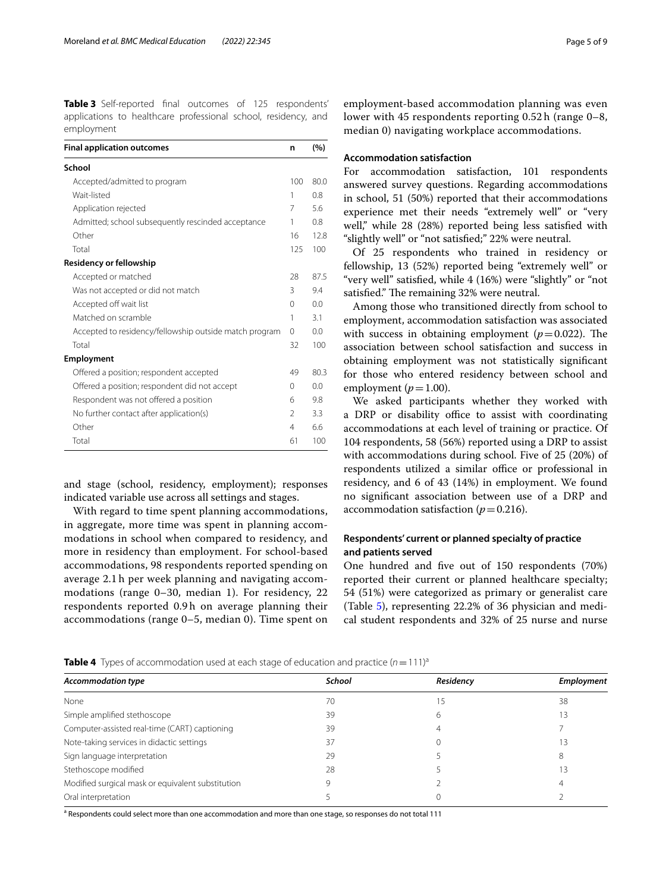<span id="page-4-0"></span>**Table 3** Self-reported fnal outcomes of 125 respondents' applications to healthcare professional school, residency, and employment

| <b>Final application outcomes</b>                      | n             | (%)  |
|--------------------------------------------------------|---------------|------|
| School                                                 |               |      |
| Accepted/admitted to program                           | 100           | 80.0 |
| Wait-listed                                            | 1             | 0.8  |
| Application rejected                                   | 7             | 5.6  |
| Admitted; school subsequently rescinded acceptance     | 1             | 0.8  |
| Other                                                  | 16            | 12.8 |
| Total                                                  | 125           | 100  |
| <b>Residency or fellowship</b>                         |               |      |
| Accepted or matched                                    | 28            | 87.5 |
| Was not accepted or did not match                      | 3             | 9.4  |
| Accepted off wait list                                 | $\Omega$      | 0.0  |
| Matched on scramble                                    | 1             | 31   |
| Accepted to residency/fellowship outside match program | $\Omega$      | 0.0  |
| Total                                                  | 32            | 100  |
| <b>Employment</b>                                      |               |      |
| Offered a position; respondent accepted                | 49            | 80.3 |
| Offered a position; respondent did not accept          | $\Omega$      | 0.0  |
| Respondent was not offered a position                  | 6             | 9.8  |
| No further contact after application(s)                | $\mathcal{P}$ | 3.3  |
| Other                                                  | 4             | 6.6  |
| Total                                                  | 61            | 100  |

and stage (school, residency, employment); responses indicated variable use across all settings and stages.

With regard to time spent planning accommodations, in aggregate, more time was spent in planning accommodations in school when compared to residency, and more in residency than employment. For school-based accommodations, 98 respondents reported spending on average 2.1 h per week planning and navigating accommodations (range 0–30, median 1). For residency, 22 respondents reported 0.9 h on average planning their accommodations (range 0–5, median 0). Time spent on employment-based accommodation planning was even lower with 45 respondents reporting 0.52 h (range 0–8, median 0) navigating workplace accommodations.

## **Accommodation satisfaction**

For accommodation satisfaction, 101 respondents answered survey questions. Regarding accommodations in school, 51 (50%) reported that their accommodations experience met their needs "extremely well" or "very well," while 28 (28%) reported being less satisfed with "slightly well" or "not satisfed;" 22% were neutral.

Of 25 respondents who trained in residency or fellowship, 13 (52%) reported being "extremely well" or "very well" satisfed, while 4 (16%) were "slightly" or "not satisfied." The remaining 32% were neutral.

Among those who transitioned directly from school to employment, accommodation satisfaction was associated with success in obtaining employment  $(p=0.022)$ . The association between school satisfaction and success in obtaining employment was not statistically signifcant for those who entered residency between school and employment ( $p=1.00$ ).

We asked participants whether they worked with a DRP or disability office to assist with coordinating accommodations at each level of training or practice. Of 104 respondents, 58 (56%) reported using a DRP to assist with accommodations during school. Five of 25 (20%) of respondents utilized a similar office or professional in residency, and 6 of 43 (14%) in employment. We found no signifcant association between use of a DRP and accommodation satisfaction ( $p=0.216$ ).

## **Respondents' current or planned specialty of practice and patients served**

One hundred and fve out of 150 respondents (70%) reported their current or planned healthcare specialty; 54 (51%) were categorized as primary or generalist care (Table [5\)](#page-5-0), representing 22.2% of 36 physician and medical student respondents and 32% of 25 nurse and nurse

<span id="page-4-1"></span>

| <b>Table 4</b> Types of accommodation used at each stage of education and practice $(n = 111)^{a}$ |  |  |  |
|----------------------------------------------------------------------------------------------------|--|--|--|
|----------------------------------------------------------------------------------------------------|--|--|--|

| School | Residency | Employment |
|--------|-----------|------------|
| 70     | .5        | 38         |
| 39     | h         |            |
| 39     |           |            |
| 37     |           |            |
| 29     |           |            |
| 28     |           |            |
|        |           | 4          |
|        |           |            |
|        |           |            |

<sup>a</sup> Respondents could select more than one accommodation and more than one stage, so responses do not total 111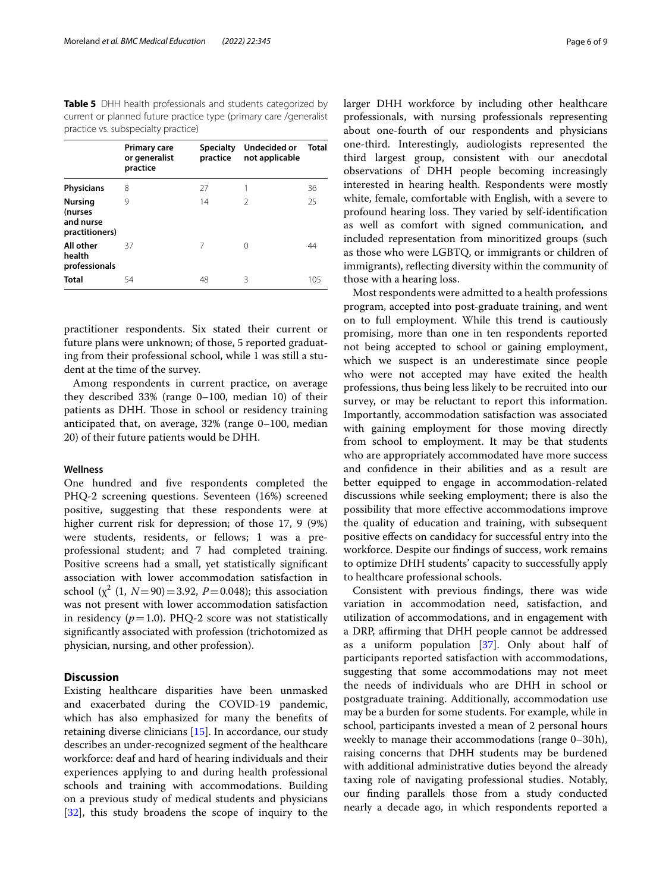<span id="page-5-0"></span>**Table 5** DHH health professionals and students categorized by current or planned future practice type (primary care /generalist practice vs. subspecialty practice)

|                                                          | <b>Primary care</b><br>or generalist<br>practice | <b>Specialty</b><br>practice | Undecided or<br>not applicable | Total |
|----------------------------------------------------------|--------------------------------------------------|------------------------------|--------------------------------|-------|
| <b>Physicians</b>                                        | 8                                                | 27                           |                                | 36    |
| <b>Nursing</b><br>(nurses<br>and nurse<br>practitioners) | 9                                                | 14                           | $\mathcal{P}$                  | 25    |
| All other<br>health<br>professionals                     | 37                                               | 7                            | ∩                              | 44    |
| <b>Total</b>                                             | 54                                               | 48                           | 3                              | 105   |

practitioner respondents. Six stated their current or future plans were unknown; of those, 5 reported graduating from their professional school, while 1 was still a student at the time of the survey.

Among respondents in current practice, on average they described 33% (range 0–100, median 10) of their patients as DHH. Those in school or residency training anticipated that, on average, 32% (range 0–100, median 20) of their future patients would be DHH.

#### **Wellness**

One hundred and fve respondents completed the PHQ-2 screening questions. Seventeen (16%) screened positive, suggesting that these respondents were at higher current risk for depression; of those 17, 9 (9%) were students, residents, or fellows; 1 was a preprofessional student; and 7 had completed training. Positive screens had a small, yet statistically signifcant association with lower accommodation satisfaction in school  $(\chi^2 (1, N=90)=3.92, P=0.048)$ ; this association was not present with lower accommodation satisfaction in residency  $(p=1.0)$ . PHQ-2 score was not statistically signifcantly associated with profession (trichotomized as physician, nursing, and other profession).

## **Discussion**

Existing healthcare disparities have been unmasked and exacerbated during the COVID-19 pandemic, which has also emphasized for many the benefts of retaining diverse clinicians [[15\]](#page-8-1). In accordance, our study describes an under-recognized segment of the healthcare workforce: deaf and hard of hearing individuals and their experiences applying to and during health professional schools and training with accommodations. Building on a previous study of medical students and physicians [[32\]](#page-8-13), this study broadens the scope of inquiry to the larger DHH workforce by including other healthcare professionals, with nursing professionals representing about one-fourth of our respondents and physicians one-third. Interestingly, audiologists represented the third largest group, consistent with our anecdotal observations of DHH people becoming increasingly interested in hearing health. Respondents were mostly white, female, comfortable with English, with a severe to profound hearing loss. They varied by self-identification as well as comfort with signed communication, and included representation from minoritized groups (such as those who were LGBTQ, or immigrants or children of immigrants), refecting diversity within the community of those with a hearing loss.

Most respondents were admitted to a health professions program, accepted into post-graduate training, and went on to full employment. While this trend is cautiously promising, more than one in ten respondents reported not being accepted to school or gaining employment, which we suspect is an underestimate since people who were not accepted may have exited the health professions, thus being less likely to be recruited into our survey, or may be reluctant to report this information. Importantly, accommodation satisfaction was associated with gaining employment for those moving directly from school to employment. It may be that students who are appropriately accommodated have more success and confdence in their abilities and as a result are better equipped to engage in accommodation-related discussions while seeking employment; there is also the possibility that more efective accommodations improve the quality of education and training, with subsequent positive efects on candidacy for successful entry into the workforce. Despite our fndings of success, work remains to optimize DHH students' capacity to successfully apply to healthcare professional schools.

Consistent with previous fndings, there was wide variation in accommodation need, satisfaction, and utilization of accommodations, and in engagement with a DRP, afrming that DHH people cannot be addressed as a uniform population [[37](#page-8-18)]. Only about half of participants reported satisfaction with accommodations, suggesting that some accommodations may not meet the needs of individuals who are DHH in school or postgraduate training. Additionally, accommodation use may be a burden for some students. For example, while in school, participants invested a mean of 2 personal hours weekly to manage their accommodations (range 0–30h), raising concerns that DHH students may be burdened with additional administrative duties beyond the already taxing role of navigating professional studies. Notably, our fnding parallels those from a study conducted nearly a decade ago, in which respondents reported a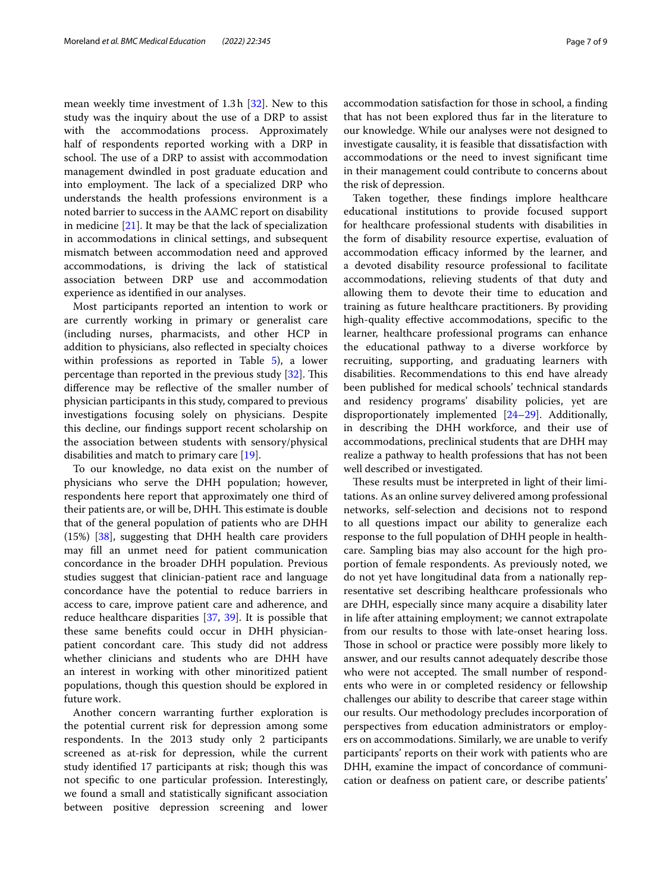mean weekly time investment of 1.3h [\[32](#page-8-13)]. New to this study was the inquiry about the use of a DRP to assist with the accommodations process. Approximately half of respondents reported working with a DRP in school. The use of a DRP to assist with accommodation management dwindled in post graduate education and into employment. The lack of a specialized DRP who understands the health professions environment is a noted barrier to success in the AAMC report on disability in medicine [\[21\]](#page-8-7). It may be that the lack of specialization in accommodations in clinical settings, and subsequent mismatch between accommodation need and approved accommodations, is driving the lack of statistical association between DRP use and accommodation experience as identifed in our analyses.

Most participants reported an intention to work or are currently working in primary or generalist care (including nurses, pharmacists, and other HCP in addition to physicians, also refected in specialty choices within professions as reported in Table [5](#page-5-0)), a lower percentage than reported in the previous study  $[32]$  $[32]$ . This diference may be refective of the smaller number of physician participants in this study, compared to previous investigations focusing solely on physicians. Despite this decline, our fndings support recent scholarship on the association between students with sensory/physical disabilities and match to primary care [\[19](#page-8-5)].

To our knowledge, no data exist on the number of physicians who serve the DHH population; however, respondents here report that approximately one third of their patients are, or will be, DHH. This estimate is double that of the general population of patients who are DHH (15%) [\[38](#page-8-19)], suggesting that DHH health care providers may fll an unmet need for patient communication concordance in the broader DHH population. Previous studies suggest that clinician-patient race and language concordance have the potential to reduce barriers in access to care, improve patient care and adherence, and reduce healthcare disparities [\[37](#page-8-18), [39\]](#page-8-20). It is possible that these same benefts could occur in DHH physicianpatient concordant care. This study did not address whether clinicians and students who are DHH have an interest in working with other minoritized patient populations, though this question should be explored in future work.

Another concern warranting further exploration is the potential current risk for depression among some respondents. In the 2013 study only 2 participants screened as at-risk for depression, while the current study identifed 17 participants at risk; though this was not specifc to one particular profession. Interestingly, we found a small and statistically signifcant association between positive depression screening and lower

accommodation satisfaction for those in school, a fnding that has not been explored thus far in the literature to our knowledge. While our analyses were not designed to investigate causality, it is feasible that dissatisfaction with accommodations or the need to invest signifcant time in their management could contribute to concerns about the risk of depression.

Taken together, these fndings implore healthcare educational institutions to provide focused support for healthcare professional students with disabilities in the form of disability resource expertise, evaluation of accommodation efficacy informed by the learner, and a devoted disability resource professional to facilitate accommodations, relieving students of that duty and allowing them to devote their time to education and training as future healthcare practitioners. By providing high-quality effective accommodations, specific to the learner, healthcare professional programs can enhance the educational pathway to a diverse workforce by recruiting, supporting, and graduating learners with disabilities. Recommendations to this end have already been published for medical schools' technical standards and residency programs' disability policies, yet are disproportionately implemented [\[24](#page-8-21)[–29](#page-8-10)]. Additionally, in describing the DHH workforce, and their use of accommodations, preclinical students that are DHH may realize a pathway to health professions that has not been well described or investigated.

These results must be interpreted in light of their limitations. As an online survey delivered among professional networks, self-selection and decisions not to respond to all questions impact our ability to generalize each response to the full population of DHH people in healthcare. Sampling bias may also account for the high proportion of female respondents. As previously noted, we do not yet have longitudinal data from a nationally representative set describing healthcare professionals who are DHH, especially since many acquire a disability later in life after attaining employment; we cannot extrapolate from our results to those with late-onset hearing loss. Those in school or practice were possibly more likely to answer, and our results cannot adequately describe those who were not accepted. The small number of respondents who were in or completed residency or fellowship challenges our ability to describe that career stage within our results. Our methodology precludes incorporation of perspectives from education administrators or employers on accommodations. Similarly, we are unable to verify participants' reports on their work with patients who are DHH, examine the impact of concordance of communication or deafness on patient care, or describe patients'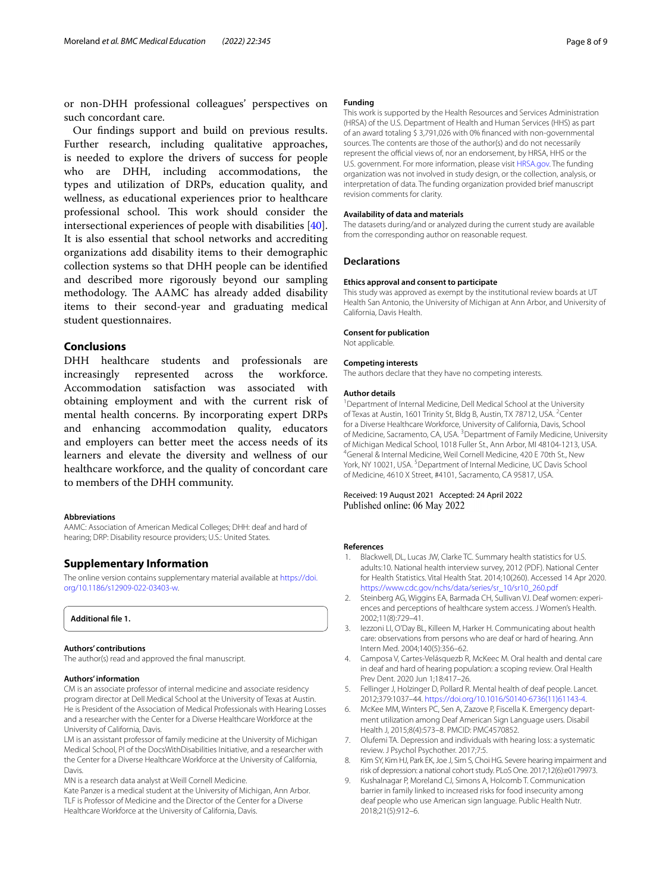or non-DHH professional colleagues' perspectives on such concordant care.

Our fndings support and build on previous results. Further research, including qualitative approaches, is needed to explore the drivers of success for people who are DHH, including accommodations, the types and utilization of DRPs, education quality, and wellness, as educational experiences prior to healthcare professional school. This work should consider the intersectional experiences of people with disabilities [\[40](#page-8-22)]. It is also essential that school networks and accrediting organizations add disability items to their demographic collection systems so that DHH people can be identifed and described more rigorously beyond our sampling methodology. The AAMC has already added disability items to their second-year and graduating medical student questionnaires.

## **Conclusions**

DHH healthcare students and professionals are increasingly represented across the workforce. Accommodation satisfaction was associated with obtaining employment and with the current risk of mental health concerns. By incorporating expert DRPs and enhancing accommodation quality, educators and employers can better meet the access needs of its learners and elevate the diversity and wellness of our healthcare workforce, and the quality of concordant care to members of the DHH community.

#### **Abbreviations**

AAMC: Association of American Medical Colleges; DHH: deaf and hard of hearing; DRP: Disability resource providers; U.S.: United States.

## **Supplementary Information**

The online version contains supplementary material available at [https://doi.](https://doi.org/10.1186/s12909-022-03403-w) [org/10.1186/s12909-022-03403-w.](https://doi.org/10.1186/s12909-022-03403-w)

## <span id="page-7-4"></span>**Additional fle 1.**

#### **Authors' contributions**

The author(s) read and approved the fnal manuscript.

#### **Authors' information**

CM is an associate professor of internal medicine and associate residency program director at Dell Medical School at the University of Texas at Austin. He is President of the Association of Medical Professionals with Hearing Losses and a researcher with the Center for a Diverse Healthcare Workforce at the University of California, Davis.

LM is an assistant professor of family medicine at the University of Michigan Medical School, PI of the DocsWithDisabilities Initiative, and a researcher with the Center for a Diverse Healthcare Workforce at the University of California, Davis.

MN is a research data analyst at Weill Cornell Medicine.

Kate Panzer is a medical student at the University of Michigan, Ann Arbor. TLF is Professor of Medicine and the Director of the Center for a Diverse Healthcare Workforce at the University of California, Davis.

#### **Funding**

This work is supported by the Health Resources and Services Administration (HRSA) of the U.S. Department of Health and Human Services (HHS) as part of an award totaling \$ 3,791,026 with 0% fnanced with non-governmental sources. The contents are those of the author(s) and do not necessarily represent the official views of, nor an endorsement, by HRSA, HHS or the U.S. government. For more information, please visit [HRSA.gov.](http://hrsa.gov) The funding organization was not involved in study design, or the collection, analysis, or interpretation of data. The funding organization provided brief manuscript revision comments for clarity.

#### **Availability of data and materials**

The datasets during/and or analyzed during the current study are available from the corresponding author on reasonable request.

#### **Declarations**

#### **Ethics approval and consent to participate**

This study was approved as exempt by the institutional review boards at UT Health San Antonio, the University of Michigan at Ann Arbor, and University of California, Davis Health.

#### **Consent for publication**

Not applicable.

#### **Competing interests**

The authors declare that they have no competing interests.

#### **Author details**

<sup>1</sup> Department of Internal Medicine, Dell Medical School at the University of Texas at Austin, 1601 Trinity St, Bldg B, Austin, TX 78712, USA. <sup>2</sup>Center for a Diverse Healthcare Workforce, University of California, Davis, School of Medicine, Sacramento, CA, USA.<sup>3</sup> Department of Family Medicine, University of Michigan Medical School, 1018 Fuller St., Ann Arbor, MI 48104-1213, USA. 4 General & Internal Medicine, Weil Cornell Medicine, 420 E 70th St., New York, NY 10021, USA.<sup>5</sup> Department of Internal Medicine, UC Davis School of Medicine, 4610 X Street, #4101, Sacramento, CA 95817, USA.

#### Received: 19 August 2021 Accepted: 24 April 2022 Published online: 06 May 2022

#### **References**

- <span id="page-7-0"></span>1. Blackwell, DL, Lucas JW, Clarke TC. Summary health statistics for U.S. adults:10. National health interview survey, 2012 (PDF). National Center for Health Statistics. Vital Health Stat. 2014;10(260). Accessed 14 Apr 2020. [https://www.cdc.gov/nchs/data/series/sr\\_10/sr10\\_260.pdf](https://www.cdc.gov/nchs/data/series/sr_10/sr10_260.pdf)
- <span id="page-7-1"></span>2. Steinberg AG, Wiggins EA, Barmada CH, Sullivan VJ. Deaf women: experiences and perceptions of healthcare system access. J Women's Health. 2002;11(8):729–41.
- 3. Iezzoni LI, O'Day BL, Killeen M, Harker H. Communicating about health care: observations from persons who are deaf or hard of hearing. Ann Intern Med. 2004;140(5):356–62.
- Camposa V, Cartes-Velásquezb R, McKeec M. Oral health and dental care in deaf and hard of hearing population: a scoping review. Oral Health Prev Dent. 2020 Jun 1;18:417–26.
- <span id="page-7-2"></span>5. Fellinger J, Holzinger D, Pollard R. Mental health of deaf people. Lancet. 2012;379:1037–44. [https://doi.org/10.1016/S0140-6736\(11\)61143-4.](https://doi.org/10.1016/S0140-6736(11)61143-4)
- <span id="page-7-3"></span>6. McKee MM, Winters PC, Sen A, Zazove P, Fiscella K. Emergency department utilization among Deaf American Sign Language users. Disabil Health J, 2015;8(4):573–8. PMCID: PMC4570852.
- 7. Olufemi TA. Depression and individuals with hearing loss: a systematic review. J Psychol Psychother. 2017;7:5.
- 8. Kim SY, Kim HJ, Park EK, Joe J, Sim S, Choi HG. Severe hearing impairment and risk of depression: a national cohort study. PLoS One. 2017;12(6):e0179973.
- 9. Kushalnagar P, Moreland CJ, Simons A, Holcomb T. Communication barrier in family linked to increased risks for food insecurity among deaf people who use American sign language. Public Health Nutr. 2018;21(5):912–6.